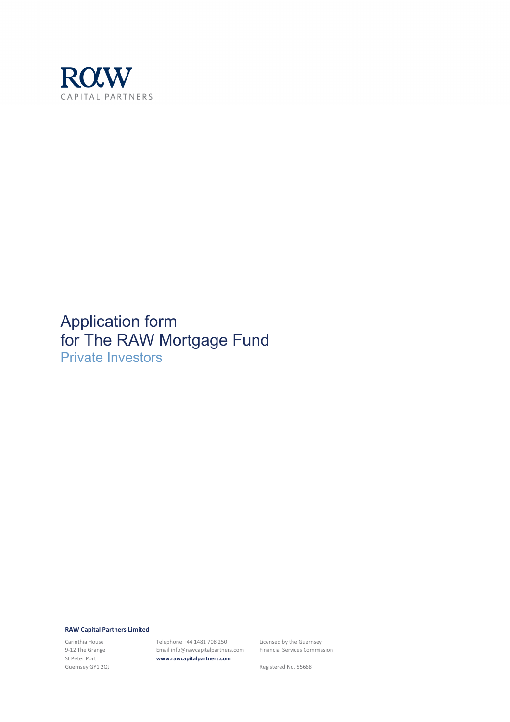

## Application form for The RAW Mortgage Fund Private Investors

**RAW Capital Partners Limited**

Carinthia House 9-12 The Grange St Peter Port Guernsey GY1 2QJ Telephone +44 1481 708 250 Email info@rawcapitalpartners.com **www.rawcapitalpartners.com**

Licensed by the Guernsey Financial Services Commission

Registered No. 55668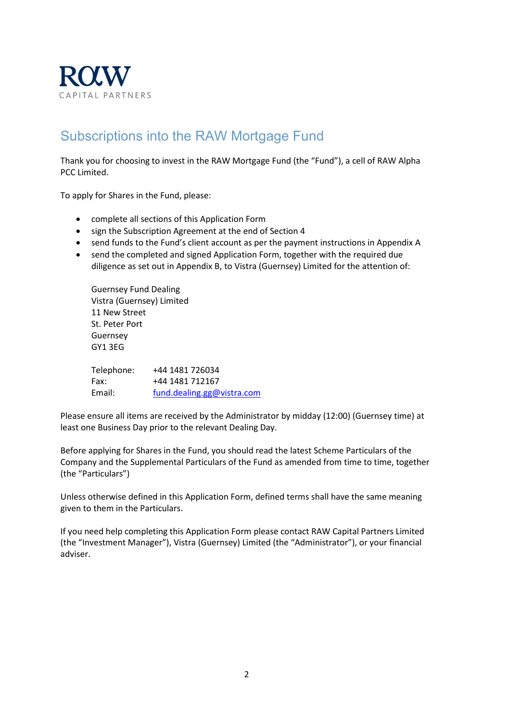

## Subscriptions into the RAW Mortgage Fund

Thank you for choosing to invest in the RAW Mortgage Fund (the "Fund"), a cell of RAW Alpha PCC Limited.

To apply for Shares in the Fund, please:

- complete all sections of this Application Form
- sign the Subscription Agreement at the end of Section 4
- send funds to the Fund's client account as per the payment instructions in Appendix A
- send the completed and signed Application Form, together with the required due diligence as set out in Appendix B, to Vistra (Guernsey) Limited for the attention of:

Guernsey Fund Dealing Vistra (Guernsey) Limited 11 New Street St. Peter Port Guernsey GY1 3EG

| Telephone: | +44 1481 726034            |
|------------|----------------------------|
| Fax:       | +44 1481 712167            |
| Email:     | fund.dealing.gg@vistra.com |

Please ensure all items are received by the Administrator by midday (12:00) (Guernsey time) at least one Business Day prior to the relevant Dealing Day.

Before applying for Shares in the Fund, you should read the latest Scheme Particulars of the Company and the Supplemental Particulars of the Fund as amended from time to time, together (the "Particulars")

Unless otherwise defined in this Application Form, defined terms shall have the same meaning given to them in the Particulars.

If you need help completing this Application Form please contact RAW Capital Partners Limited (the "Investment Manager"), Vistra (Guernsey) Limited (the "Administrator"), or your financial adviser.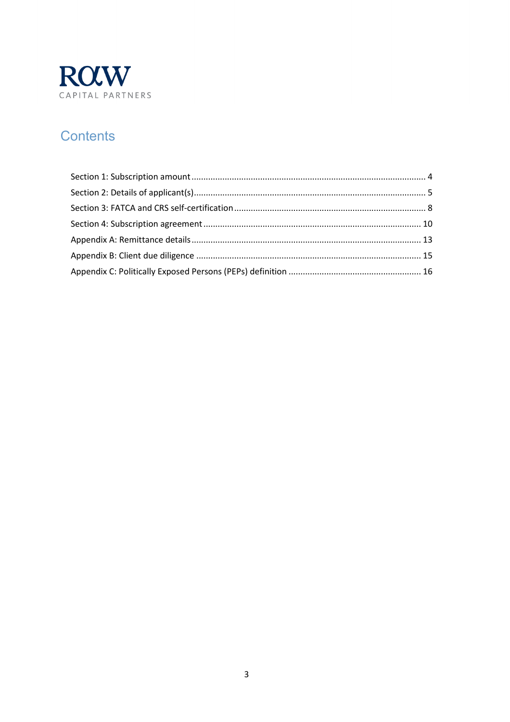

## **Contents**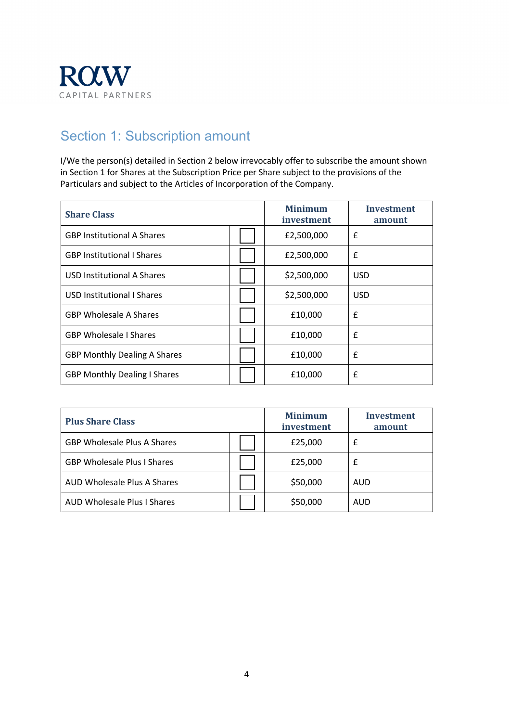

## <span id="page-3-0"></span>Section 1: Subscription amount

I/We the person(s) detailed in Section 2 below irrevocably offer to subscribe the amount shown in Section 1 for Shares at the Subscription Price per Share subject to the provisions of the Particulars and subject to the Articles of Incorporation of the Company.

| <b>Share Class</b>                  | <b>Minimum</b><br>investment | Investment<br>amount |
|-------------------------------------|------------------------------|----------------------|
| <b>GBP Institutional A Shares</b>   | £2,500,000                   | £                    |
| <b>GBP Institutional I Shares</b>   | £2,500,000                   | £                    |
| <b>USD Institutional A Shares</b>   | \$2,500,000                  | <b>USD</b>           |
| USD Institutional I Shares          | \$2,500,000                  | <b>USD</b>           |
| <b>GBP Wholesale A Shares</b>       | £10,000                      | £                    |
| <b>GBP Wholesale I Shares</b>       | £10,000                      | £                    |
| <b>GBP Monthly Dealing A Shares</b> | £10,000                      | £                    |
| <b>GBP Monthly Dealing I Shares</b> | £10,000                      | £                    |

| <b>Plus Share Class</b>            | <b>Minimum</b><br>investment | Investment<br>amount |
|------------------------------------|------------------------------|----------------------|
| <b>GBP Wholesale Plus A Shares</b> | £25,000                      | £                    |
| <b>GBP Wholesale Plus I Shares</b> | £25,000                      | £                    |
| AUD Wholesale Plus A Shares        | \$50,000                     | AUD                  |
| AUD Wholesale Plus I Shares        | \$50,000                     | <b>AUD</b>           |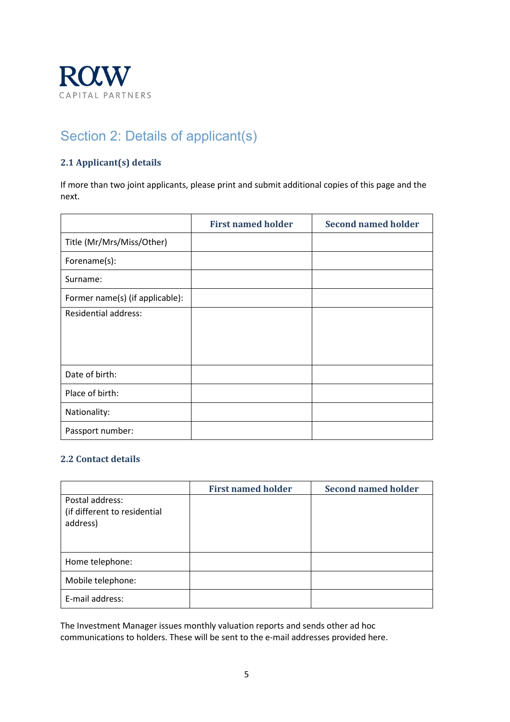

# <span id="page-4-0"></span>Section 2: Details of applicant(s)

### **2.1 Applicant(s) details**

If more than two joint applicants, please print and submit additional copies of this page and the next.

|                                 | <b>First named holder</b> | <b>Second named holder</b> |
|---------------------------------|---------------------------|----------------------------|
| Title (Mr/Mrs/Miss/Other)       |                           |                            |
| Forename(s):                    |                           |                            |
| Surname:                        |                           |                            |
| Former name(s) (if applicable): |                           |                            |
| <b>Residential address:</b>     |                           |                            |
|                                 |                           |                            |
|                                 |                           |                            |
| Date of birth:                  |                           |                            |
| Place of birth:                 |                           |                            |
| Nationality:                    |                           |                            |
| Passport number:                |                           |                            |

### **2.2 Contact details**

|                                                             | <b>First named holder</b> | <b>Second named holder</b> |
|-------------------------------------------------------------|---------------------------|----------------------------|
| Postal address:<br>(if different to residential<br>address) |                           |                            |
| Home telephone:                                             |                           |                            |
| Mobile telephone:                                           |                           |                            |
| E-mail address:                                             |                           |                            |

The Investment Manager issues monthly valuation reports and sends other ad hoc communications to holders. These will be sent to the e-mail addresses provided here.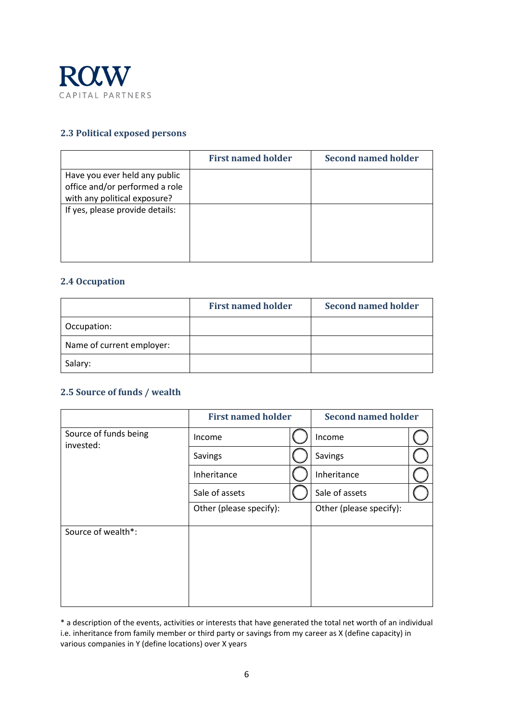

#### **2.3 Political exposed persons**

|                                 | <b>First named holder</b> | Second named holder |
|---------------------------------|---------------------------|---------------------|
| Have you ever held any public   |                           |                     |
| office and/or performed a role  |                           |                     |
| with any political exposure?    |                           |                     |
| If yes, please provide details: |                           |                     |
|                                 |                           |                     |
|                                 |                           |                     |
|                                 |                           |                     |
|                                 |                           |                     |

### **2.4 Occupation**

|                           | <b>First named holder</b> | <b>Second named holder</b> |
|---------------------------|---------------------------|----------------------------|
| Occupation:               |                           |                            |
| Name of current employer: |                           |                            |
| Salary:                   |                           |                            |

### **2.5 Source of funds / wealth**

|                                    | <b>First named holder</b> | <b>Second named holder</b> |  |
|------------------------------------|---------------------------|----------------------------|--|
| Source of funds being<br>invested: | Income                    | Income                     |  |
|                                    | Savings                   | Savings                    |  |
|                                    | Inheritance               | Inheritance                |  |
|                                    | Sale of assets            | Sale of assets             |  |
|                                    | Other (please specify):   | Other (please specify):    |  |
| Source of wealth*:                 |                           |                            |  |

\* a description of the events, activities or interests that have generated the total net worth of an individual i.e. inheritance from family member or third party or savings from my career as X (define capacity) in various companies in Y (define locations) over X years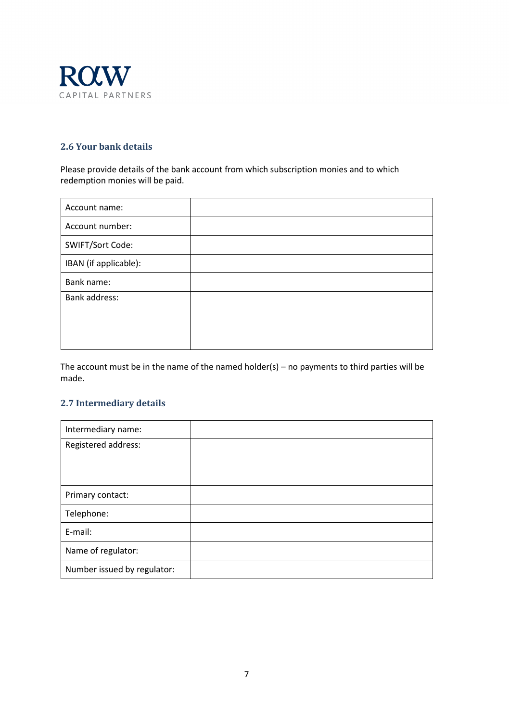

### **2.6 Your bank details**

Please provide details of the bank account from which subscription monies and to which redemption monies will be paid.

The account must be in the name of the named holder(s) – no payments to third parties will be made.

#### **2.7 Intermediary details**

| Intermediary name:          |  |
|-----------------------------|--|
| Registered address:         |  |
|                             |  |
|                             |  |
| Primary contact:            |  |
| Telephone:                  |  |
| E-mail:                     |  |
| Name of regulator:          |  |
| Number issued by regulator: |  |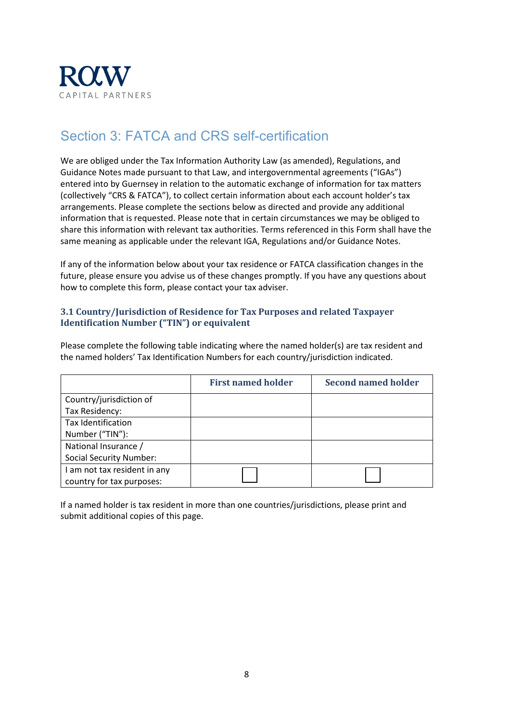

### <span id="page-7-0"></span>Section 3: FATCA and CRS self-certification

We are obliged under the Tax Information Authority Law (as amended), Regulations, and Guidance Notes made pursuant to that Law, and intergovernmental agreements ("IGAs") entered into by Guernsey in relation to the automatic exchange of information for tax matters (collectively "CRS & FATCA"), to collect certain information about each account holder's tax arrangements. Please complete the sections below as directed and provide any additional information that is requested. Please note that in certain circumstances we may be obliged to share this information with relevant tax authorities. Terms referenced in this Form shall have the same meaning as applicable under the relevant IGA, Regulations and/or Guidance Notes.

If any of the information below about your tax residence or FATCA classification changes in the future, please ensure you advise us of these changes promptly. If you have any questions about how to complete this form, please contact your tax adviser.

### **3.1 Country/Jurisdiction of Residence for Tax Purposes and related Taxpayer Identification Number ("TIN") or equivalent**

Please complete the following table indicating where the named holder(s) are tax resident and the named holders' Tax Identification Numbers for each country/jurisdiction indicated.

|                                | <b>First named holder</b> | <b>Second named holder</b> |
|--------------------------------|---------------------------|----------------------------|
| Country/jurisdiction of        |                           |                            |
| Tax Residency:                 |                           |                            |
| Tax Identification             |                           |                            |
| Number ("TIN"):                |                           |                            |
| National Insurance /           |                           |                            |
| <b>Social Security Number:</b> |                           |                            |
| I am not tax resident in any   |                           |                            |
| country for tax purposes:      |                           |                            |

If a named holder is tax resident in more than one countries/jurisdictions, please print and submit additional copies of this page.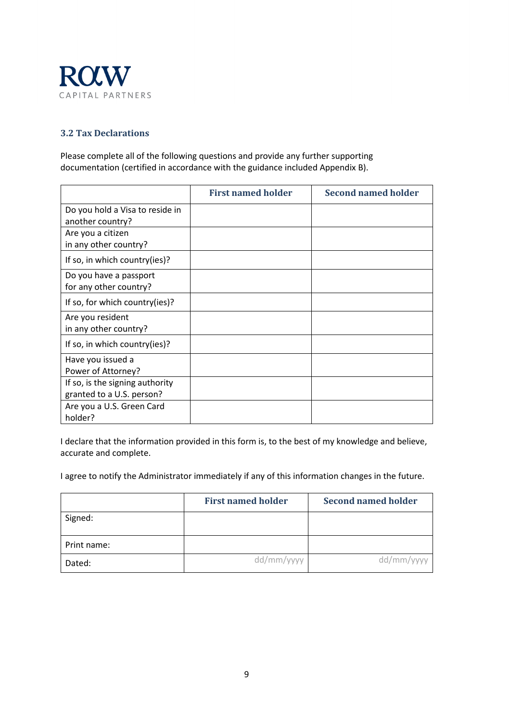

### **3.2 Tax Declarations**

Please complete all of the following questions and provide any further supporting documentation (certified in accordance with the guidance included Appendix B).

|                                                              | <b>First named holder</b> | <b>Second named holder</b> |
|--------------------------------------------------------------|---------------------------|----------------------------|
| Do you hold a Visa to reside in<br>another country?          |                           |                            |
| Are you a citizen<br>in any other country?                   |                           |                            |
| If so, in which country(ies)?                                |                           |                            |
| Do you have a passport<br>for any other country?             |                           |                            |
| If so, for which country(ies)?                               |                           |                            |
| Are you resident<br>in any other country?                    |                           |                            |
| If so, in which country(ies)?                                |                           |                            |
| Have you issued a<br>Power of Attorney?                      |                           |                            |
| If so, is the signing authority<br>granted to a U.S. person? |                           |                            |
| Are you a U.S. Green Card<br>holder?                         |                           |                            |

I declare that the information provided in this form is, to the best of my knowledge and believe, accurate and complete.

I agree to notify the Administrator immediately if any of this information changes in the future.

|             | <b>First named holder</b> | <b>Second named holder</b> |
|-------------|---------------------------|----------------------------|
| Signed:     |                           |                            |
| Print name: |                           |                            |
| Dated:      | dd/mm/yyyy                | dd/mm/yyyy                 |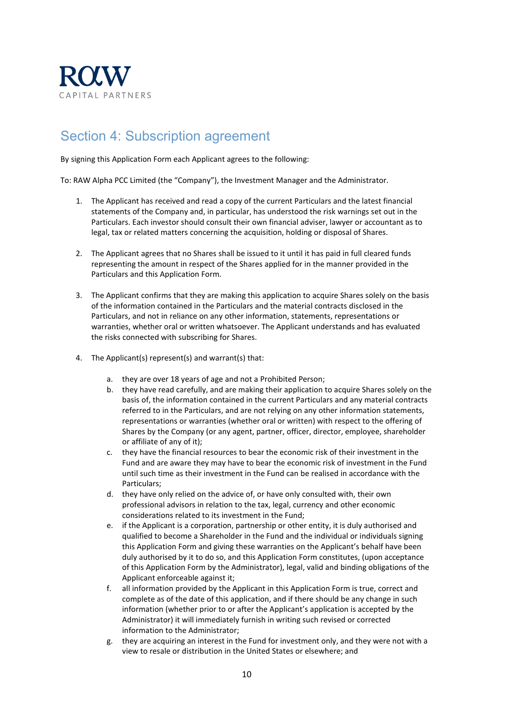

### <span id="page-9-0"></span>Section 4: Subscription agreement

By signing this Application Form each Applicant agrees to the following:

To: RAW Alpha PCC Limited (the "Company"), the Investment Manager and the Administrator.

- 1. The Applicant has received and read a copy of the current Particulars and the latest financial statements of the Company and, in particular, has understood the risk warnings set out in the Particulars. Each investor should consult their own financial adviser, lawyer or accountant as to legal, tax or related matters concerning the acquisition, holding or disposal of Shares.
- 2. The Applicant agrees that no Shares shall be issued to it until it has paid in full cleared funds representing the amount in respect of the Shares applied for in the manner provided in the Particulars and this Application Form.
- 3. The Applicant confirms that they are making this application to acquire Shares solely on the basis of the information contained in the Particulars and the material contracts disclosed in the Particulars, and not in reliance on any other information, statements, representations or warranties, whether oral or written whatsoever. The Applicant understands and has evaluated the risks connected with subscribing for Shares.
- 4. The Applicant(s) represent(s) and warrant(s) that:
	- a. they are over 18 years of age and not a Prohibited Person;
	- b. they have read carefully, and are making their application to acquire Shares solely on the basis of, the information contained in the current Particulars and any material contracts referred to in the Particulars, and are not relying on any other information statements, representations or warranties (whether oral or written) with respect to the offering of Shares by the Company (or any agent, partner, officer, director, employee, shareholder or affiliate of any of it);
	- c. they have the financial resources to bear the economic risk of their investment in the Fund and are aware they may have to bear the economic risk of investment in the Fund until such time as their investment in the Fund can be realised in accordance with the Particulars;
	- d. they have only relied on the advice of, or have only consulted with, their own professional advisors in relation to the tax, legal, currency and other economic considerations related to its investment in the Fund;
	- e. if the Applicant is a corporation, partnership or other entity, it is duly authorised and qualified to become a Shareholder in the Fund and the individual or individuals signing this Application Form and giving these warranties on the Applicant's behalf have been duly authorised by it to do so, and this Application Form constitutes, (upon acceptance of this Application Form by the Administrator), legal, valid and binding obligations of the Applicant enforceable against it;
	- f. all information provided by the Applicant in this Application Form is true, correct and complete as of the date of this application, and if there should be any change in such information (whether prior to or after the Applicant's application is accepted by the Administrator) it will immediately furnish in writing such revised or corrected information to the Administrator;
	- g. they are acquiring an interest in the Fund for investment only, and they were not with a view to resale or distribution in the United States or elsewhere; and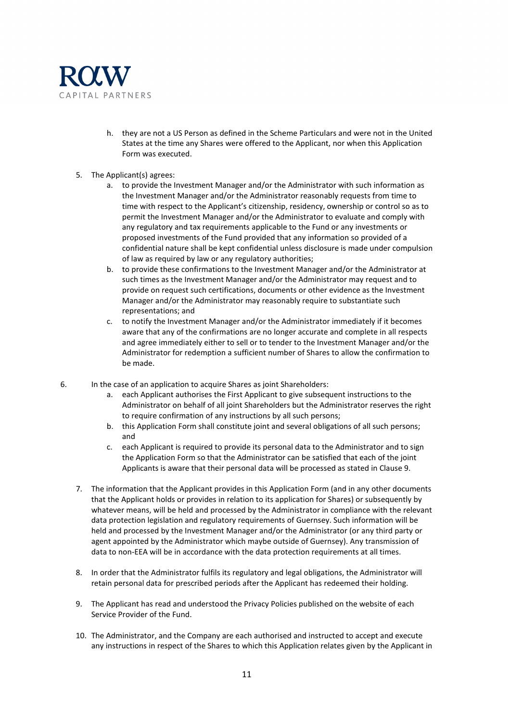

- h. they are not a US Person as defined in the Scheme Particulars and were not in the United States at the time any Shares were offered to the Applicant, nor when this Application Form was executed.
- 5. The Applicant(s) agrees:
	- a. to provide the Investment Manager and/or the Administrator with such information as the Investment Manager and/or the Administrator reasonably requests from time to time with respect to the Applicant's citizenship, residency, ownership or control so as to permit the Investment Manager and/or the Administrator to evaluate and comply with any regulatory and tax requirements applicable to the Fund or any investments or proposed investments of the Fund provided that any information so provided of a confidential nature shall be kept confidential unless disclosure is made under compulsion of law as required by law or any regulatory authorities;
	- b. to provide these confirmations to the Investment Manager and/or the Administrator at such times as the Investment Manager and/or the Administrator may request and to provide on request such certifications, documents or other evidence as the Investment Manager and/or the Administrator may reasonably require to substantiate such representations; and
	- c. to notify the Investment Manager and/or the Administrator immediately if it becomes aware that any of the confirmations are no longer accurate and complete in all respects and agree immediately either to sell or to tender to the Investment Manager and/or the Administrator for redemption a sufficient number of Shares to allow the confirmation to be made.
- 6. In the case of an application to acquire Shares as joint Shareholders:
	- a. each Applicant authorises the First Applicant to give subsequent instructions to the Administrator on behalf of all joint Shareholders but the Administrator reserves the right to require confirmation of any instructions by all such persons;
	- b. this Application Form shall constitute joint and several obligations of all such persons; and
	- c. each Applicant is required to provide its personal data to the Administrator and to sign the Application Form so that the Administrator can be satisfied that each of the joint Applicants is aware that their personal data will be processed as stated in Clause 9.
	- 7. The information that the Applicant provides in this Application Form (and in any other documents that the Applicant holds or provides in relation to its application for Shares) or subsequently by whatever means, will be held and processed by the Administrator in compliance with the relevant data protection legislation and regulatory requirements of Guernsey. Such information will be held and processed by the Investment Manager and/or the Administrator (or any third party or agent appointed by the Administrator which maybe outside of Guernsey). Any transmission of data to non-EEA will be in accordance with the data protection requirements at all times.
	- 8. In order that the Administrator fulfils its regulatory and legal obligations, the Administrator will retain personal data for prescribed periods after the Applicant has redeemed their holding.
	- 9. The Applicant has read and understood the Privacy Policies published on the website of each Service Provider of the Fund.
	- 10. The Administrator, and the Company are each authorised and instructed to accept and execute any instructions in respect of the Shares to which this Application relates given by the Applicant in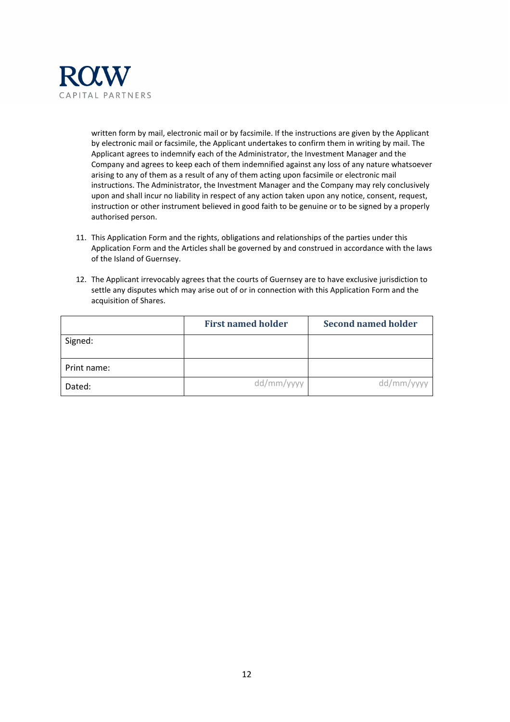

written form by mail, electronic mail or by facsimile. If the instructions are given by the Applicant by electronic mail or facsimile, the Applicant undertakes to confirm them in writing by mail. The Applicant agrees to indemnify each of the Administrator, the Investment Manager and the Company and agrees to keep each of them indemnified against any loss of any nature whatsoever arising to any of them as a result of any of them acting upon facsimile or electronic mail instructions. The Administrator, the Investment Manager and the Company may rely conclusively upon and shall incur no liability in respect of any action taken upon any notice, consent, request, instruction or other instrument believed in good faith to be genuine or to be signed by a properly authorised person.

- 11. This Application Form and the rights, obligations and relationships of the parties under this Application Form and the Articles shall be governed by and construed in accordance with the laws of the Island of Guernsey.
- 12. The Applicant irrevocably agrees that the courts of Guernsey are to have exclusive jurisdiction to settle any disputes which may arise out of or in connection with this Application Form and the acquisition of Shares.

|             | <b>First named holder</b> | <b>Second named holder</b> |
|-------------|---------------------------|----------------------------|
| Signed:     |                           |                            |
| Print name: |                           |                            |
| Dated:      | dd/mm/yyyy                | dd/mm/yyyy                 |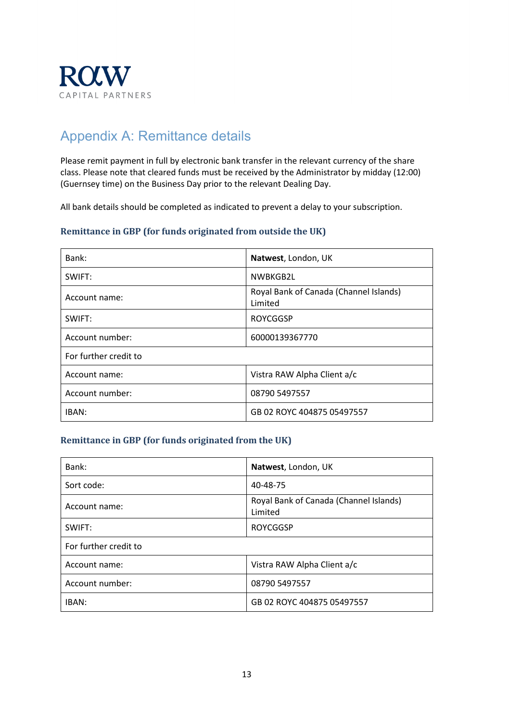

### <span id="page-12-0"></span>Appendix A: Remittance details

Please remit payment in full by electronic bank transfer in the relevant currency of the share class. Please note that cleared funds must be received by the Administrator by midday (12:00) (Guernsey time) on the Business Day prior to the relevant Dealing Day.

All bank details should be completed as indicated to prevent a delay to your subscription.

### **Remittance in GBP (for funds originated from outside the UK)**

| Bank:                 | Natwest, London, UK                               |
|-----------------------|---------------------------------------------------|
| SWIFT:                | NWBKGB2L                                          |
| Account name:         | Royal Bank of Canada (Channel Islands)<br>Limited |
| SWIFT:                | <b>ROYCGGSP</b>                                   |
| Account number:       | 60000139367770                                    |
| For further credit to |                                                   |
| Account name:         | Vistra RAW Alpha Client a/c                       |
| Account number:       | 08790 5497557                                     |
| IBAN:                 | GB 02 ROYC 404875 05497557                        |

### **Remittance in GBP (for funds originated from the UK)**

| Bank:                 | Natwest, London, UK                               |
|-----------------------|---------------------------------------------------|
| Sort code:            | 40-48-75                                          |
| Account name:         | Royal Bank of Canada (Channel Islands)<br>Limited |
| SWIFT:                | <b>ROYCGGSP</b>                                   |
| For further credit to |                                                   |
| Account name:         | Vistra RAW Alpha Client a/c                       |
| Account number:       | 08790 5497557                                     |
| IBAN:                 | GB 02 ROYC 404875 05497557                        |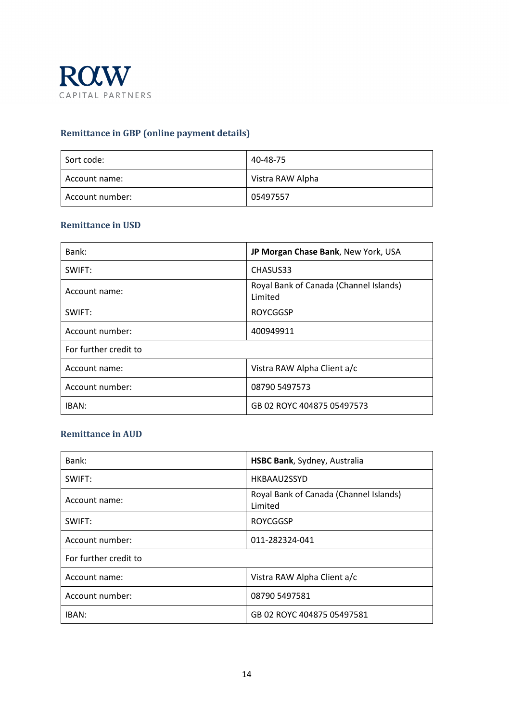

### **Remittance in GBP (online payment details)**

| Sort code:      | 40-48-75         |
|-----------------|------------------|
| Account name:   | Vistra RAW Alpha |
| Account number: | 05497557         |

### **Remittance in USD**

| Bank:                 | JP Morgan Chase Bank, New York, USA               |
|-----------------------|---------------------------------------------------|
| SWIFT:                | CHASUS33                                          |
| Account name:         | Royal Bank of Canada (Channel Islands)<br>Limited |
| SWIFT:                | <b>ROYCGGSP</b>                                   |
| Account number:       | 400949911                                         |
| For further credit to |                                                   |
| Account name:         | Vistra RAW Alpha Client a/c                       |
| Account number:       | 08790 5497573                                     |
| IBAN:                 | GB 02 ROYC 404875 05497573                        |

### **Remittance in AUD**

| Bank:                 | HSBC Bank, Sydney, Australia                      |
|-----------------------|---------------------------------------------------|
| SWIFT:                | HKBAAU2SSYD                                       |
| Account name:         | Royal Bank of Canada (Channel Islands)<br>Limited |
| SWIFT:                | <b>ROYCGGSP</b>                                   |
| Account number:       | 011-282324-041                                    |
| For further credit to |                                                   |
| Account name:         | Vistra RAW Alpha Client a/c                       |
| Account number:       | 08790 5497581                                     |
| IBAN:                 | GB 02 ROYC 404875 05497581                        |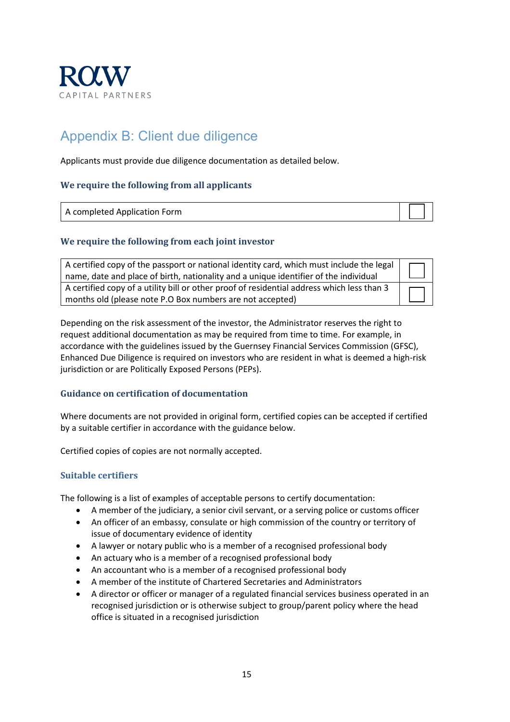

## <span id="page-14-0"></span>Appendix B: Client due diligence

Applicants must provide due diligence documentation as detailed below.

### **We require the following from all applicants**

| A completed Application Form |  |
|------------------------------|--|

#### **We require the following from each joint investor**

| A certified copy of the passport or national identity card, which must include the legal<br>name, date and place of birth, nationality and a unique identifier of the individual |  |
|----------------------------------------------------------------------------------------------------------------------------------------------------------------------------------|--|
| A certified copy of a utility bill or other proof of residential address which less than 3<br>months old (please note P.O Box numbers are not accepted)                          |  |

Depending on the risk assessment of the investor, the Administrator reserves the right to request additional documentation as may be required from time to time. For example, in accordance with the guidelines issued by the Guernsey Financial Services Commission (GFSC), Enhanced Due Diligence is required on investors who are resident in what is deemed a high-risk jurisdiction or are Politically Exposed Persons (PEPs).

#### **Guidance on certification of documentation**

Where documents are not provided in original form, certified copies can be accepted if certified by a suitable certifier in accordance with the guidance below.

Certified copies of copies are not normally accepted.

### **Suitable certifiers**

The following is a list of examples of acceptable persons to certify documentation:

- A member of the judiciary, a senior civil servant, or a serving police or customs officer
- An officer of an embassy, consulate or high commission of the country or territory of issue of documentary evidence of identity
- A lawyer or notary public who is a member of a recognised professional body
- An actuary who is a member of a recognised professional body
- An accountant who is a member of a recognised professional body
- A member of the institute of Chartered Secretaries and Administrators
- A director or officer or manager of a regulated financial services business operated in an recognised jurisdiction or is otherwise subject to group/parent policy where the head office is situated in a recognised jurisdiction